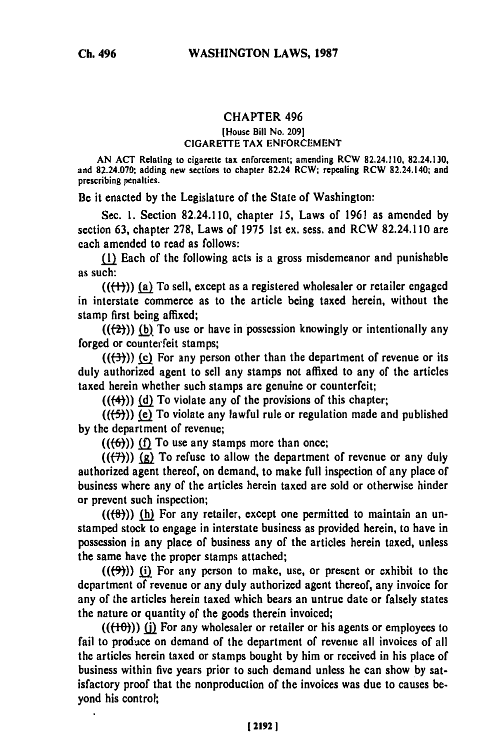## **CHAPTER** 496

## **[House** Bill No. **209] CIGARETTE** TAX **ENFORCEMENT**

**AN ACT Relating** to cigarette tax enforcement; amending RCW **82.24.110, 82.24.130,** and **82.24.070;** adding new sections to chapter **82.24 RCW;** repealing RCW 82.24.140; and prescribing penalties.

**Be** it enacted **by** the Legislature of the State of Washington:

Sec. **1.** Section 82.24.110, chapter **15,** Laws of **1961** as amended **by** section **63,** chapter **278,** Laws of **1975 1st** ex. sess. and RCW 82.24.110 are each amended to read as follows:

**(1)** Each of the following acts is a gross misdemeanor and punishable as such:

(((-t1)) **(a)** To sell, except as a registered wholesaler or retailer engaged in interstate commerce as to the article being taxed herein, without the stamp first being affixed;

 $((2))$  (b) To use or have in possession knowingly or intentionally any forged or counterfeit stamps;

 $((\left\lbrace 3 \right\rbrace))$  (c) For any person other than the department of revenue or its duly authorized agent to sell any stamps not affixed to any of the articles taxed herein whether such stamps are genuine or counterfeit;

**(((4)) Jd)** To violate any of the provisions of this chapter;

 $((\left\langle 5\right\rangle))$  (e) To violate any lawful rule or regulation made and published **by** the department of revenue;

 $((6))$  (f) To use any stamps more than once;

 $((\overline{(\overline{7})}))$   $\overline{(\overline{g})}$  To refuse to allow the department of revenue or any duly authorized agent thereof, on demand, to make full inspection of any place of business where any of the articles herein taxed are sold or otherwise hinder or prevent such inspection;

 $((\{ \theta \}))$  (h) For any retailer, except one permitted to maintain an unstamped stock to engage in interstate business as provided herein, to have in possession in any place of business any of the articles herein taxed, unless the same have the proper stamps attached;

**(((9))) (i)** For any person to make, use, or present or exhibit to the department of revenue or any duly authorized agent thereof, any invoice for any of the articles herein taxed which bears an untrue date or falsely states the nature or quantity of the goods therein invoiced;

 $((\{+0\})$ ) (i) For any wholesaler or retailer or his agents or employees to fail to produce on demand of the department of revenue all invoices of all the articles herein taxed or stamps bought **by** him or received in his place of business within five years prior to such demand unless he can show **by** satisfactory proof that the nonproduction of the invoices was due to causes beyond his control;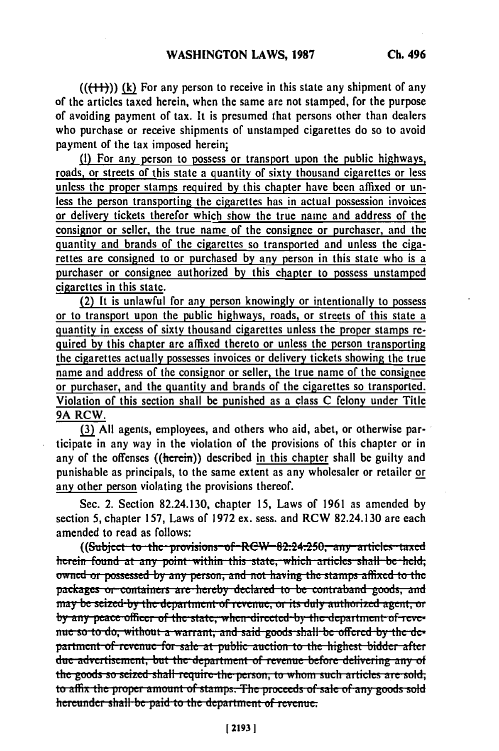**(((-I-)) (k)** For any person to receive in this state any shipment of any of the articles taxed herein, when the same are not stamped, for the purpose of avoiding payment of tax. It is presumed that persons other than dealers who purchase or receive shipments of unstampcd cigarettes do so to avoid payment of the tax imposed herein;

**(I)** For any person to possess or transport upon the public highways, roads, or streets of this state a quantity of sixty thousand cigarettes or less unless the proper stamps required **by** this chapter have been affixed or unless the person transporting the cigarettes has in actual possession invoices or delivery tickets therefor which show the true name and address of the consignor or seller, the true name of the consignee or purchaser, and the quantity and brands of the cigarettes so transported and unless the **ciga**rettes are consigned to or purchased **by** any person in this state who is a purchaser or consignee authorized **by** this chapter to possess unstamped cigarettes in this state.

(2) It is unlawful for any person knowingly or intentionally to possess or to transport upon the public highways, roads, or streets of this state a quantity in excess of sixty thousand cigarettes unless the proper stamps required **by** this chapter are affixed thereto or unless the person transporting the cigarettes actually possesses invoices or delivery tickets showing the true name and address of the consignor or seller, the true name of the consignee or purchaser, and the quantity and brands of the cigarettes so transported. Violation of this section shall **be** punished as a class **C** felony under Title **9A** RCW.

**(3) All** agents, employees, and others who aid, abet, or otherwise participate in any way in the violation of the provisions of this chapter or in any of the offenses  $((\text{herein})$  described in this chapter shall be guilty and punishable as principals, to the same extent as any wholesaler or retailer or any other person violating the provisions thereof.

Sec. 2. Section 82.24.130, chapter **15,** Laws of **1961** as amended **by** section 5, chapter **157,** Laws of **1972** ex. sess. and **RCW** 82.24.130 are each amended to read as follows:

((Subject to the provisions of REW 82.24.250, any articles taxed **leterm** found at any point within this state, which articles shall be held, owned or possessed by any person, and not having the stamps affixed to the packages or containers are hereby declared to be contraband goods, and may be seized by the department of revenue, or its duly authorized agent, or by any peace officer of the state, when directed by the department of revenue so to do, without a warrant, and said goods shall be offered by the de**partment of revenue for sale at public auction to the highest bidder after** due advertisement, but the department of revenue before delivering any of the goods so seized shall require the person, to whom such articles are sold, to affix the proper amount of stamps. The proceeds of sale of any goods sold **thereunder shall be paid to the department of revenue.**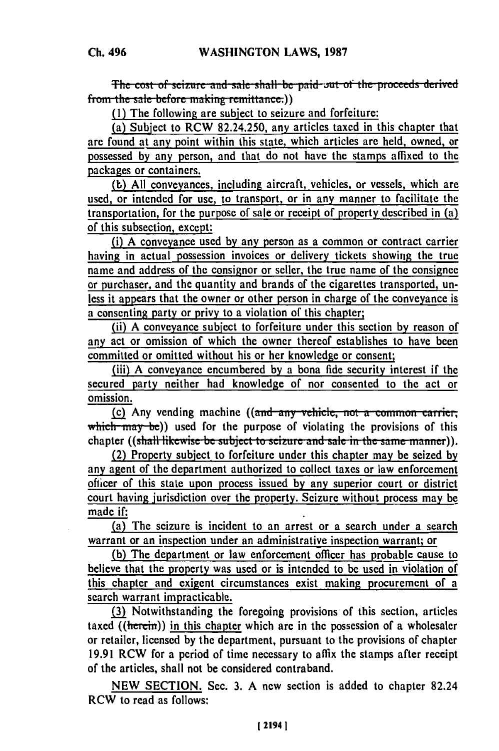**the cost of seizure and sale shall be paid out of the proceeds derived** from the sale before making remittance.))

**(1)** The following are subject to seizure and forfeiture:

(a) Subject to RCW 82.24.250, any articles taxed in this chapter that are found at any point within this state, which articles are held, owned, or possessed by any person, and that do not have the stamps affixed to the packages or containers.

**(b)** All conveyances, including aircraft, vehicles, or vessels, which are used, or intended for use, to transport, or in any manner to facilitate the transportation, for the purpose of sale or receipt of property described in (a) of this subsection, except:

(i) A conveyance used **by** any person as a common or contract carrier having in actual possession invoices or delivery tickets showing the true name and address of the consignor or seller, the true name of the consignee or purchaser, and the quantity and brands of the cigarettes transported, unless it appears that the owner or other person in charge of the conveyance is a consenting party or privy to a violation of this chapter;

(ii) A conveyance subject to forfeiture under this section by reason of any act or omission of which the owner thereof establishes to have been committed or omitted without his or her knowledge or consent;

(iii) A conveyance encumbered by a bona fide security interest if the secured party neither had knowledge of nor consented to the act or omission.

**(c)** Any vending machine ((and any vehicle, not a common carrier, which may be)) used for the purpose of violating the provisions of this chapter ((shall likewise be subject to seizure and sale in the same manner)).

(2) Property subject to forfeiture under this chapter may be seized by any agent of the department authorized to collect taxes or law enforcement ofhicer of this state upon process issued **by** any superior court or district court having jurisdiction over the property. Seizure without process may be made **if:**

(a) The seizure is incident to an arrest or a search under a search warrant or an inspection under an administrative inspection warrant; or

**(b)** The department or law enforcement officer has probable cause to believe that the property was used or is intended to **be** used in violation of this chapter and exigent circumstances exist making procurement of a search warrant impracticable.

**(3)** Notwithstanding the foregoing provisions of this section, articles taxed ((herein)) in this chapter which are in the possession of a wholesaler or retailer, licensed **by** the department, pursuant to the provisions of chapter **19.91** RCW for a period of time necessary to affix the stamps after receipt of the articles, shall not be considered contraband.

**NEW SECTION.** Sec. **3. A** new section is added to chapter 82.24 RCW to read as follows: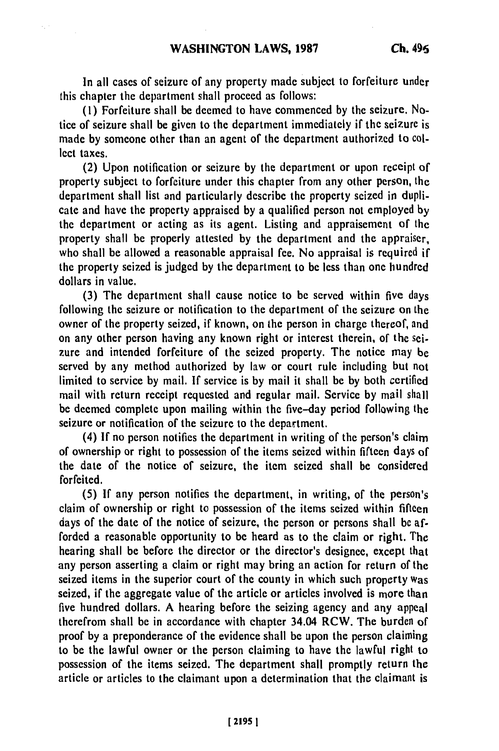In all cases of seizure of any property made subject to forfeiture under this chapter the department shall proceed as follows:

**(1)** Forfeiture shall be deemed to have commenced **by** the seizure. **No**tice of seizure shall be given to the department immediately if the seizure is made **by** someone other than an agent of the department authorized to collect taxes.

(2) Upon notification or seizure **by** the department or upon receipt of property subject to forfeiture under this chapter from any other person, the department shall list and particularly describe the property seized in duplicate and have the property appraised **by** a qualified person not employed **by** the department or acting as its agent. Listing and appraisement **of** the property shall be properly attested **by** the department and the appraiser, who shall be allowed a reasonable appraisal fee. No appraisal is required if the property seized is judged **by** the department to **be** less than one hundred dollars in value.

**(3)** The department shall cause notice to be served within five days following the seizure or notification to the department of the seizure on the owner of the property seized, if known, on the person in charge thereof, and on any other person having any known right or interest therein, of the seizure and intended forfeiture of the seized property. The notice may be served **by** any method authorized **by** law or court rule including but not limited to service **by** mail. **If** service is **by** mail it shall **be by** both certified mail with return receipt requested and regular mail. Service **by** mail shall be deemed complete upon mailing within the five-day period following the seizure or notification of the seizure to the department.

(4) **If** no person notifies the department in writing of the person's claim of ownership or right to possession of the items seized within fifteen days of the date of the notice of seizure, the item seized shall be considered forfeited.

**(5) If** any person notifies the department, in writing, of the person's claim of ownership or right to possession of the items seized within fifteen days of the date of the notice of seizure, the person or persons shall **be** afforded a reasonable opportunity to be heard as to the claim or right. The hearing shall be before the director or the director's designee, except that any person asserting a claim or right may bring an action for return of the seized items in the superior court of the county in which such property was seized, if the aggregate value of the article or articles involved is more than five hundred dollars. A hearing before the seizing agency and any appeal therefrom shall be in accordance with chapter 34.04 RCW. The burden **of** proof **by** a preponderance of the evidence shall be upon the person claiming to be the lawful owner or the person claiming to have the lawful right to possession of the items seized. The department shall promptly return the article or articles to the claimant upon a determination that the claimant is